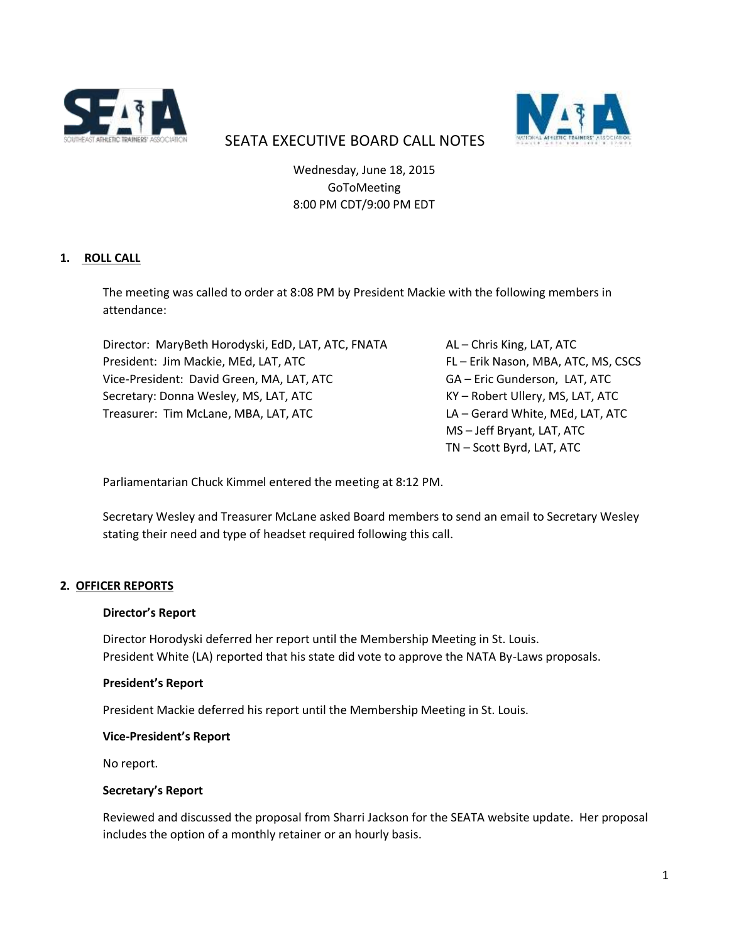



# SEATA EXECUTIVE BOARD CALL NOTES

Wednesday, June 18, 2015 GoToMeeting 8:00 PM CDT/9:00 PM EDT

## **1. ROLL CALL**

The meeting was called to order at 8:08 PM by President Mackie with the following members in attendance:

Director: MaryBeth Horodyski, EdD, LAT, ATC, FNATA AL – Chris King, LAT, ATC President: Jim Mackie, MEd, LAT, ATC FL FERIK Nason, MBA, ATC, MS, CSCS Vice-President: David Green, MA, LAT, ATC GA – Eric Gunderson, LAT, ATC Secretary: Donna Wesley, MS, LAT, ATC KY – Robert Ullery, MS, LAT, ATC Treasurer: Tim McLane, MBA, LAT, ATC LA – Gerard White, MEd, LAT, ATC

MS – Jeff Bryant, LAT, ATC TN – Scott Byrd, LAT, ATC

Parliamentarian Chuck Kimmel entered the meeting at 8:12 PM.

Secretary Wesley and Treasurer McLane asked Board members to send an email to Secretary Wesley stating their need and type of headset required following this call.

## **2. OFFICER REPORTS**

#### **Director's Report**

Director Horodyski deferred her report until the Membership Meeting in St. Louis. President White (LA) reported that his state did vote to approve the NATA By-Laws proposals.

#### **President's Report**

President Mackie deferred his report until the Membership Meeting in St. Louis.

#### **Vice-President's Report**

No report.

#### **Secretary's Report**

Reviewed and discussed the proposal from Sharri Jackson for the SEATA website update. Her proposal includes the option of a monthly retainer or an hourly basis.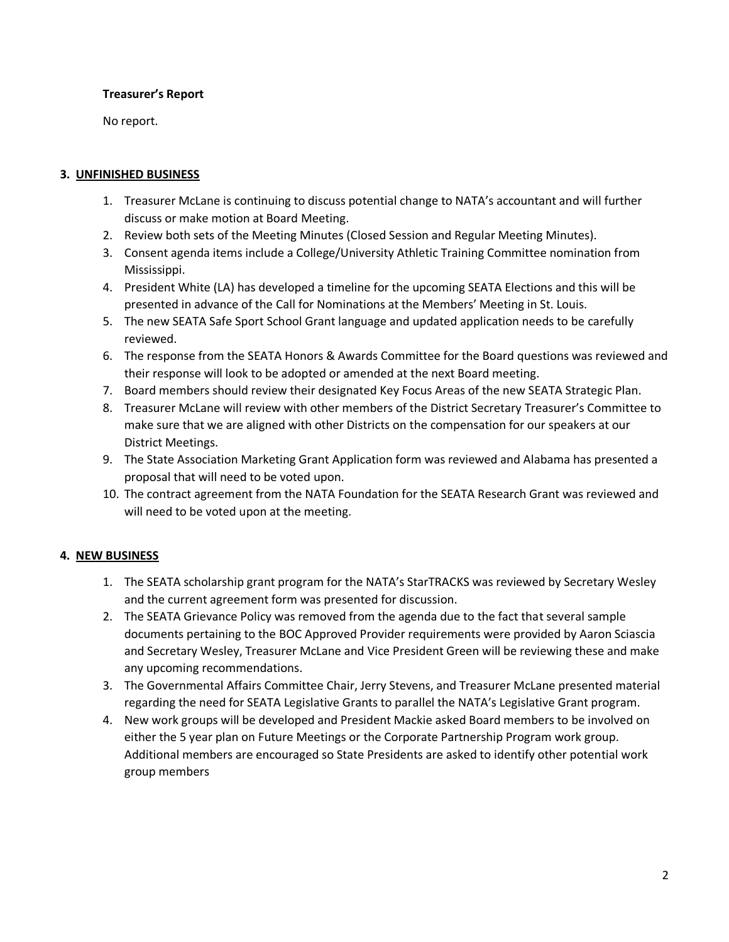## **Treasurer's Report**

No report.

## **3. UNFINISHED BUSINESS**

- 1. Treasurer McLane is continuing to discuss potential change to NATA's accountant and will further discuss or make motion at Board Meeting.
- 2. Review both sets of the Meeting Minutes (Closed Session and Regular Meeting Minutes).
- 3. Consent agenda items include a College/University Athletic Training Committee nomination from Mississippi.
- 4. President White (LA) has developed a timeline for the upcoming SEATA Elections and this will be presented in advance of the Call for Nominations at the Members' Meeting in St. Louis.
- 5. The new SEATA Safe Sport School Grant language and updated application needs to be carefully reviewed.
- 6. The response from the SEATA Honors & Awards Committee for the Board questions was reviewed and their response will look to be adopted or amended at the next Board meeting.
- 7. Board members should review their designated Key Focus Areas of the new SEATA Strategic Plan.
- 8. Treasurer McLane will review with other members of the District Secretary Treasurer's Committee to make sure that we are aligned with other Districts on the compensation for our speakers at our District Meetings.
- 9. The State Association Marketing Grant Application form was reviewed and Alabama has presented a proposal that will need to be voted upon.
- 10. The contract agreement from the NATA Foundation for the SEATA Research Grant was reviewed and will need to be voted upon at the meeting.

## **4. NEW BUSINESS**

- 1. The SEATA scholarship grant program for the NATA's StarTRACKS was reviewed by Secretary Wesley and the current agreement form was presented for discussion.
- 2. The SEATA Grievance Policy was removed from the agenda due to the fact that several sample documents pertaining to the BOC Approved Provider requirements were provided by Aaron Sciascia and Secretary Wesley, Treasurer McLane and Vice President Green will be reviewing these and make any upcoming recommendations.
- 3. The Governmental Affairs Committee Chair, Jerry Stevens, and Treasurer McLane presented material regarding the need for SEATA Legislative Grants to parallel the NATA's Legislative Grant program.
- 4. New work groups will be developed and President Mackie asked Board members to be involved on either the 5 year plan on Future Meetings or the Corporate Partnership Program work group. Additional members are encouraged so State Presidents are asked to identify other potential work group members